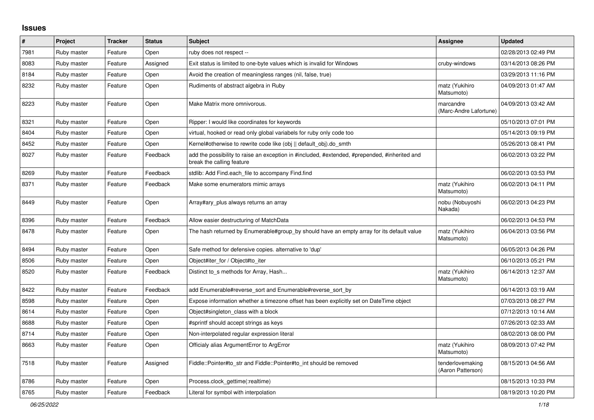## **Issues**

| $\vert$ # | Project     | <b>Tracker</b> | <b>Status</b> | <b>Subject</b>                                                                                                             | <b>Assignee</b>                       | <b>Updated</b>      |
|-----------|-------------|----------------|---------------|----------------------------------------------------------------------------------------------------------------------------|---------------------------------------|---------------------|
| 7981      | Ruby master | Feature        | Open          | ruby does not respect --                                                                                                   |                                       | 02/28/2013 02:49 PM |
| 8083      | Ruby master | Feature        | Assigned      | Exit status is limited to one-byte values which is invalid for Windows                                                     | cruby-windows                         | 03/14/2013 08:26 PM |
| 8184      | Ruby master | Feature        | Open          | Avoid the creation of meaningless ranges (nil, false, true)                                                                |                                       | 03/29/2013 11:16 PM |
| 8232      | Ruby master | Feature        | Open          | Rudiments of abstract algebra in Ruby                                                                                      | matz (Yukihiro<br>Matsumoto)          | 04/09/2013 01:47 AM |
| 8223      | Ruby master | Feature        | Open          | Make Matrix more omnivorous.                                                                                               | marcandre<br>(Marc-Andre Lafortune)   | 04/09/2013 03:42 AM |
| 8321      | Ruby master | Feature        | Open          | Ripper: I would like coordinates for keywords                                                                              |                                       | 05/10/2013 07:01 PM |
| 8404      | Ruby master | Feature        | Open          | virtual, hooked or read only global variabels for ruby only code too                                                       |                                       | 05/14/2013 09:19 PM |
| 8452      | Ruby master | Feature        | Open          | Kernel#otherwise to rewrite code like (obj    default_obj).do_smth                                                         |                                       | 05/26/2013 08:41 PM |
| 8027      | Ruby master | Feature        | Feedback      | add the possibility to raise an exception in #included, #extended, #prepended, #inherited and<br>break the calling feature |                                       | 06/02/2013 03:22 PM |
| 8269      | Ruby master | Feature        | Feedback      | stdlib: Add Find.each_file to accompany Find.find                                                                          |                                       | 06/02/2013 03:53 PM |
| 8371      | Ruby master | Feature        | Feedback      | Make some enumerators mimic arrays                                                                                         | matz (Yukihiro<br>Matsumoto)          | 06/02/2013 04:11 PM |
| 8449      | Ruby master | Feature        | Open          | Array#ary_plus always returns an array                                                                                     | nobu (Nobuyoshi<br>Nakada)            | 06/02/2013 04:23 PM |
| 8396      | Ruby master | Feature        | Feedback      | Allow easier destructuring of MatchData                                                                                    |                                       | 06/02/2013 04:53 PM |
| 8478      | Ruby master | Feature        | Open          | The hash returned by Enumerable#group_by should have an empty array for its default value                                  | matz (Yukihiro<br>Matsumoto)          | 06/04/2013 03:56 PM |
| 8494      | Ruby master | Feature        | Open          | Safe method for defensive copies. alternative to 'dup'                                                                     |                                       | 06/05/2013 04:26 PM |
| 8506      | Ruby master | Feature        | Open          | Object#iter_for / Object#to_iter                                                                                           |                                       | 06/10/2013 05:21 PM |
| 8520      | Ruby master | Feature        | Feedback      | Distinct to_s methods for Array, Hash                                                                                      | matz (Yukihiro<br>Matsumoto)          | 06/14/2013 12:37 AM |
| 8422      | Ruby master | Feature        | Feedback      | add Enumerable#reverse sort and Enumerable#reverse sort by                                                                 |                                       | 06/14/2013 03:19 AM |
| 8598      | Ruby master | Feature        | Open          | Expose information whether a timezone offset has been explicitly set on DateTime object                                    |                                       | 07/03/2013 08:27 PM |
| 8614      | Ruby master | Feature        | Open          | Object#singleton class with a block                                                                                        |                                       | 07/12/2013 10:14 AM |
| 8688      | Ruby master | Feature        | Open          | #sprintf should accept strings as keys                                                                                     |                                       | 07/26/2013 02:33 AM |
| 8714      | Ruby master | Feature        | Open          | Non-interpolated regular expression literal                                                                                |                                       | 08/02/2013 08:00 PM |
| 8663      | Ruby master | Feature        | Open          | Officialy alias ArgumentError to ArgError                                                                                  | matz (Yukihiro<br>Matsumoto)          | 08/09/2013 07:42 PM |
| 7518      | Ruby master | Feature        | Assigned      | Fiddle::Pointer#to_str and Fiddle::Pointer#to_int should be removed                                                        | tenderlovemaking<br>(Aaron Patterson) | 08/15/2013 04:56 AM |
| 8786      | Ruby master | Feature        | Open          | Process.clock_gettime(:realtime)                                                                                           |                                       | 08/15/2013 10:33 PM |
| 8765      | Ruby master | Feature        | Feedback      | Literal for symbol with interpolation                                                                                      |                                       | 08/19/2013 10:20 PM |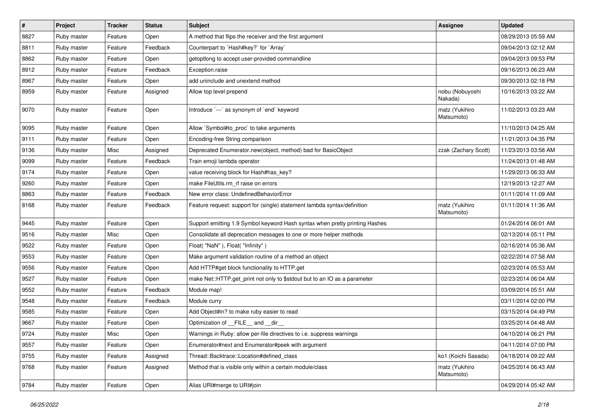| $\vert$ # | <b>Project</b> | <b>Tracker</b> | <b>Status</b> | Subject                                                                     | <b>Assignee</b>              | <b>Updated</b>      |
|-----------|----------------|----------------|---------------|-----------------------------------------------------------------------------|------------------------------|---------------------|
| 8827      | Ruby master    | Feature        | Open          | A method that flips the receiver and the first argument                     |                              | 08/29/2013 05:59 AM |
| 8811      | Ruby master    | Feature        | Feedback      | Counterpart to `Hash#key?` for `Array`                                      |                              | 09/04/2013 02:12 AM |
| 8862      | Ruby master    | Feature        | Open          | getoptlong to accept user-provided commandline                              |                              | 09/04/2013 09:53 PM |
| 8912      | Ruby master    | Feature        | Feedback      | Exception.raise                                                             |                              | 09/16/2013 06:23 AM |
| 8967      | Ruby master    | Feature        | Open          | add uninclude and unextend method                                           |                              | 09/30/2013 02:18 PM |
| 8959      | Ruby master    | Feature        | Assigned      | Allow top level prepend                                                     | nobu (Nobuyoshi<br>Nakada)   | 10/16/2013 03:22 AM |
| 9070      | Ruby master    | Feature        | Open          | Introduce `---` as synonym of `end` keyword                                 | matz (Yukihiro<br>Matsumoto) | 11/02/2013 03:23 AM |
| 9095      | Ruby master    | Feature        | Open          | Allow `Symbol#to_proc` to take arguments                                    |                              | 11/10/2013 04:25 AM |
| 9111      | Ruby master    | Feature        | Open          | Encoding-free String comparison                                             |                              | 11/21/2013 04:35 PM |
| 9136      | Ruby master    | Misc           | Assigned      | Deprecated Enumerator.new(object, method) bad for BasicObject               | zzak (Zachary Scott)         | 11/23/2013 03:58 AM |
| 9099      | Ruby master    | Feature        | Feedback      | Train emoji lambda operator                                                 |                              | 11/24/2013 01:48 AM |
| 9174      | Ruby master    | Feature        | Open          | value receiving block for Hash#has_key?                                     |                              | 11/29/2013 06:33 AM |
| 9260      | Ruby master    | Feature        | Open          | make FileUtils.rm_rf raise on errors                                        |                              | 12/19/2013 12:27 AM |
| 8863      | Ruby master    | Feature        | Feedback      | New error class: UndefinedBehaviorError                                     |                              | 01/11/2014 11:09 AM |
| 8168      | Ruby master    | Feature        | Feedback      | Feature request: support for (single) statement lambda syntax/definition    | matz (Yukihiro<br>Matsumoto) | 01/11/2014 11:36 AM |
| 9445      | Ruby master    | Feature        | Open          | Support emitting 1.9 Symbol keyword Hash syntax when pretty printing Hashes |                              | 01/24/2014 06:01 AM |
| 9516      | Ruby master    | Misc           | Open          | Consolidate all deprecation messages to one or more helper methods          |                              | 02/13/2014 05:11 PM |
| 9522      | Ruby master    | Feature        | Open          | Float("NaN"), Float("Infinity")                                             |                              | 02/16/2014 05:36 AM |
| 9553      | Ruby master    | Feature        | Open          | Make argument validation routine of a method an object                      |                              | 02/22/2014 07:58 AM |
| 9556      | Ruby master    | Feature        | Open          | Add HTTP#get block functionality to HTTP.get                                |                              | 02/23/2014 05:53 AM |
| 9527      | Ruby master    | Feature        | Open          | make Net::HTTP.get_print not only to \$stdout but to an IO as a parameter   |                              | 02/23/2014 06:04 AM |
| 9552      | Ruby master    | Feature        | Feedback      | Module map!                                                                 |                              | 03/09/2014 05:51 AM |
| 9548      | Ruby master    | Feature        | Feedback      | Module curry                                                                |                              | 03/11/2014 02:00 PM |
| 9585      | Ruby master    | Feature        | Open          | Add Object#in? to make ruby easier to read                                  |                              | 03/15/2014 04:49 PM |
| 9667      | Ruby master    | Feature        | Open          | Optimization of __FILE__ and __dir_                                         |                              | 03/25/2014 04:48 AM |
| 9724      | Ruby master    | Misc           | Open          | Warnings in Ruby: allow per-file directives to i.e. suppress warnings       |                              | 04/10/2014 06:21 PM |
| 9557      | Ruby master    | Feature        | Open          | Enumerator#next and Enumerator#peek with argument                           |                              | 04/11/2014 07:00 PM |
| 9755      | Ruby master    | Feature        | Assigned      | Thread::Backtrace::Location#defined_class                                   | ko1 (Koichi Sasada)          | 04/18/2014 09:22 AM |
| 9768      | Ruby master    | Feature        | Assigned      | Method that is visible only within a certain module/class                   | matz (Yukihiro<br>Matsumoto) | 04/25/2014 06:43 AM |
| 9784      | Ruby master    | Feature        | Open          | Alias URI#merge to URI#join                                                 |                              | 04/29/2014 05:42 AM |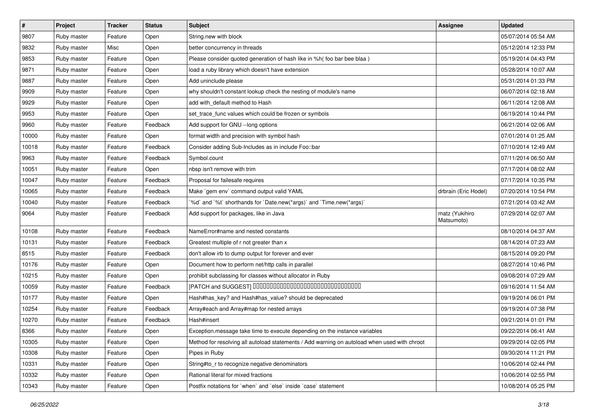| $\vert$ # | Project     | <b>Tracker</b> | <b>Status</b> | <b>Subject</b>                                                                               | <b>Assignee</b>              | <b>Updated</b>      |
|-----------|-------------|----------------|---------------|----------------------------------------------------------------------------------------------|------------------------------|---------------------|
| 9807      | Ruby master | Feature        | Open          | String.new with block                                                                        |                              | 05/07/2014 05:54 AM |
| 9832      | Ruby master | Misc           | Open          | better concurrency in threads                                                                |                              | 05/12/2014 12:33 PM |
| 9853      | Ruby master | Feature        | Open          | Please consider quoted generation of hash like in %h( foo bar bee blaa)                      |                              | 05/19/2014 04:43 PM |
| 9871      | Ruby master | Feature        | Open          | load a ruby library which doesn't have extension                                             |                              | 05/28/2014 10:07 AM |
| 9887      | Ruby master | Feature        | Open          | Add uninclude please                                                                         |                              | 05/31/2014 01:33 PM |
| 9909      | Ruby master | Feature        | Open          | why shouldn't constant lookup check the nesting of module's name                             |                              | 06/07/2014 02:18 AM |
| 9929      | Ruby master | Feature        | Open          | add with_default method to Hash                                                              |                              | 06/11/2014 12:08 AM |
| 9953      | Ruby master | Feature        | Open          | set_trace_func values which could be frozen or symbols                                       |                              | 06/19/2014 10:44 PM |
| 9960      | Ruby master | Feature        | Feedback      | Add support for GNU --long options                                                           |                              | 06/21/2014 02:06 AM |
| 10000     | Ruby master | Feature        | Open          | format width and precision with symbol hash                                                  |                              | 07/01/2014 01:25 AM |
| 10018     | Ruby master | Feature        | Feedback      | Consider adding Sub-Includes as in include Foo::bar                                          |                              | 07/10/2014 12:49 AM |
| 9963      | Ruby master | Feature        | Feedback      | Symbol.count                                                                                 |                              | 07/11/2014 06:50 AM |
| 10051     | Ruby master | Feature        | Open          | nbsp isn't remove with trim                                                                  |                              | 07/17/2014 08:02 AM |
| 10047     | Ruby master | Feature        | Feedback      | Proposal for failesafe requires                                                              |                              | 07/17/2014 10:35 PM |
| 10065     | Ruby master | Feature        | Feedback      | Make `gem env` command output valid YAML                                                     | drbrain (Eric Hodel)         | 07/20/2014 10:54 PM |
| 10040     | Ruby master | Feature        | Feedback      | '%d' and '%t' shorthands for 'Date.new(*args)' and 'Time.new(*args)'                         |                              | 07/21/2014 03:42 AM |
| 9064      | Ruby master | Feature        | Feedback      | Add support for packages, like in Java                                                       | matz (Yukihiro<br>Matsumoto) | 07/29/2014 02:07 AM |
| 10108     | Ruby master | Feature        | Feedback      | NameError#name and nested constants                                                          |                              | 08/10/2014 04:37 AM |
| 10131     | Ruby master | Feature        | Feedback      | Greatest multiple of r not greater than x                                                    |                              | 08/14/2014 07:23 AM |
| 8515      | Ruby master | Feature        | Feedback      | don't allow irb to dump output for forever and ever                                          |                              | 08/15/2014 09:20 PM |
| 10176     | Ruby master | Feature        | Open          | Document how to perform net/http calls in parallel                                           |                              | 08/27/2014 10:46 PM |
| 10215     | Ruby master | Feature        | Open          | prohibit subclassing for classes without allocator in Ruby                                   |                              | 09/08/2014 07:29 AM |
| 10059     | Ruby master | Feature        | Feedback      | [PATCH and SUGGEST] 0000000000000000000000000000000                                          |                              | 09/16/2014 11:54 AM |
| 10177     | Ruby master | Feature        | Open          | Hash#has_key? and Hash#has_value? should be deprecated                                       |                              | 09/19/2014 06:01 PM |
| 10254     | Ruby master | Feature        | Feedback      | Array#each and Array#map for nested arrays                                                   |                              | 09/19/2014 07:38 PM |
| 10270     | Ruby master | Feature        | Feedback      | Hash#insert                                                                                  |                              | 09/21/2014 01:01 PM |
| 8366      | Ruby master | Feature        | Open          | Exception message take time to execute depending on the instance variables                   |                              | 09/22/2014 06:41 AM |
| 10305     | Ruby master | Feature        | Open          | Method for resolving all autoload statements / Add warning on autoload when used with chroot |                              | 09/29/2014 02:05 PM |
| 10308     | Ruby master | Feature        | Open          | Pipes in Ruby                                                                                |                              | 09/30/2014 11:21 PM |
| 10331     | Ruby master | Feature        | Open          | String#to_r to recognize negative denominators                                               |                              | 10/06/2014 02:44 PM |
| 10332     | Ruby master | Feature        | Open          | Rational literal for mixed fractions                                                         |                              | 10/06/2014 02:55 PM |
| 10343     | Ruby master | Feature        | Open          | Postfix notations for 'when' and 'else' inside 'case' statement                              |                              | 10/08/2014 05:25 PM |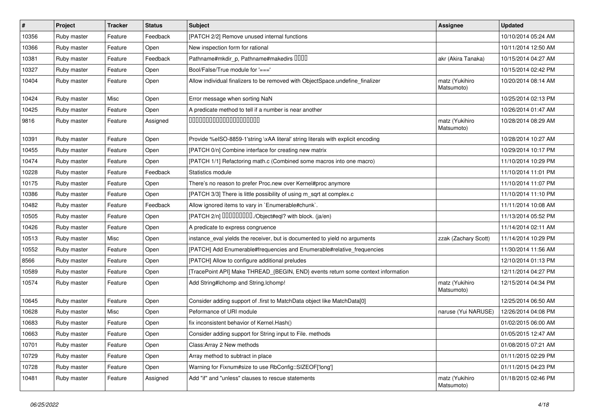| #     | Project     | <b>Tracker</b> | <b>Status</b> | <b>Subject</b>                                                                   | <b>Assignee</b>              | <b>Updated</b>      |
|-------|-------------|----------------|---------------|----------------------------------------------------------------------------------|------------------------------|---------------------|
| 10356 | Ruby master | Feature        | Feedback      | [PATCH 2/2] Remove unused internal functions                                     |                              | 10/10/2014 05:24 AM |
| 10366 | Ruby master | Feature        | Open          | New inspection form for rational                                                 |                              | 10/11/2014 12:50 AM |
| 10381 | Ruby master | Feature        | Feedback      | Pathname#mkdir_p, Pathname#makedirs DDDD                                         | akr (Akira Tanaka)           | 10/15/2014 04:27 AM |
| 10327 | Ruby master | Feature        | Open          | Bool/False/True module for '==='                                                 |                              | 10/15/2014 02:42 PM |
| 10404 | Ruby master | Feature        | Open          | Allow individual finalizers to be removed with ObjectSpace.undefine_finalizer    | matz (Yukihiro<br>Matsumoto) | 10/20/2014 08:14 AM |
| 10424 | Ruby master | Misc           | Open          | Error message when sorting NaN                                                   |                              | 10/25/2014 02:13 PM |
| 10425 | Ruby master | Feature        | Open          | A predicate method to tell if a number is near another                           |                              | 10/26/2014 01:47 AM |
| 9816  | Ruby master | Feature        | Assigned      | 00000000000000000000                                                             | matz (Yukihiro<br>Matsumoto) | 10/28/2014 08:29 AM |
| 10391 | Ruby master | Feature        | Open          | Provide %eISO-8859-1'string \xAA literal' string literals with explicit encoding |                              | 10/28/2014 10:27 AM |
| 10455 | Ruby master | Feature        | Open          | [PATCH 0/n] Combine interface for creating new matrix                            |                              | 10/29/2014 10:17 PM |
| 10474 | Ruby master | Feature        | Open          | [PATCH 1/1] Refactoring math.c (Combined some macros into one macro)             |                              | 11/10/2014 10:29 PM |
| 10228 | Ruby master | Feature        | Feedback      | Statistics module                                                                |                              | 11/10/2014 11:01 PM |
| 10175 | Ruby master | Feature        | Open          | There's no reason to prefer Proc.new over Kernel#proc anymore                    |                              | 11/10/2014 11:07 PM |
| 10386 | Ruby master | Feature        | Open          | [PATCH 3/3] There is little possibility of using m_sqrt at complex.c             |                              | 11/10/2014 11:10 PM |
| 10482 | Ruby master | Feature        | Feedback      | Allow ignored items to vary in `Enumerable#chunk`.                               |                              | 11/11/2014 10:08 AM |
| 10505 | Ruby master | Feature        | Open          | [PATCH 2/n] DDDDDDDD./Object#eql? with block. (ja/en)                            |                              | 11/13/2014 05:52 PM |
| 10426 | Ruby master | Feature        | Open          | A predicate to express congruence                                                |                              | 11/14/2014 02:11 AM |
| 10513 | Ruby master | Misc           | Open          | instance_eval yields the receiver, but is documented to yield no arguments       | zzak (Zachary Scott)         | 11/14/2014 10:29 PM |
| 10552 | Ruby master | Feature        | Open          | [PATCH] Add Enumerable#frequencies and Enumerable#relative_frequencies           |                              | 11/30/2014 11:56 AM |
| 8566  | Ruby master | Feature        | Open          | [PATCH] Allow to configure additional preludes                                   |                              | 12/10/2014 01:13 PM |
| 10589 | Ruby master | Feature        | Open          | [TracePoint API] Make THREAD_{BEGIN, END} events return some context information |                              | 12/11/2014 04:27 PM |
| 10574 | Ruby master | Feature        | Open          | Add String#Ichomp and String.Ichomp!                                             | matz (Yukihiro<br>Matsumoto) | 12/15/2014 04:34 PM |
| 10645 | Ruby master | Feature        | Open          | Consider adding support of .first to MatchData object like MatchData[0]          |                              | 12/25/2014 06:50 AM |
| 10628 | Ruby master | Misc           | Open          | Peformance of URI module                                                         | naruse (Yui NARUSE)          | 12/26/2014 04:08 PM |
| 10683 | Ruby master | Feature        | Open          | fix inconsistent behavior of Kernel. Hash()                                      |                              | 01/02/2015 06:00 AM |
| 10663 | Ruby master | Feature        | Open          | Consider adding support for String input to File. methods                        |                              | 01/05/2015 12:47 AM |
| 10701 | Ruby master | Feature        | Open          | Class: Array 2 New methods                                                       |                              | 01/08/2015 07:21 AM |
| 10729 | Ruby master | Feature        | Open          | Array method to subtract in place                                                |                              | 01/11/2015 02:29 PM |
| 10728 | Ruby master | Feature        | Open          | Warning for Fixnum#size to use RbConfig::SIZEOF['long']                          |                              | 01/11/2015 04:23 PM |
| 10481 | Ruby master | Feature        | Assigned      | Add "if" and "unless" clauses to rescue statements                               | matz (Yukihiro<br>Matsumoto) | 01/18/2015 02:46 PM |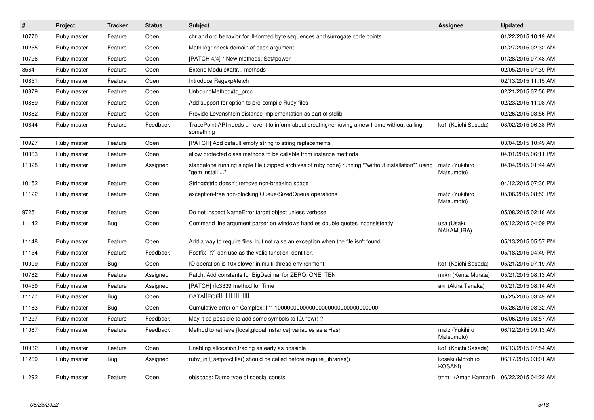| $\pmb{\#}$ | <b>Project</b> | <b>Tracker</b> | <b>Status</b> | <b>Subject</b>                                                                                                          | Assignee                                  | <b>Updated</b>      |
|------------|----------------|----------------|---------------|-------------------------------------------------------------------------------------------------------------------------|-------------------------------------------|---------------------|
| 10770      | Ruby master    | Feature        | Open          | chr and ord behavior for ill-formed byte sequences and surrogate code points                                            |                                           | 01/22/2015 10:19 AM |
| 10255      | Ruby master    | Feature        | Open          | Math.log: check domain of base argument                                                                                 |                                           | 01/27/2015 02:32 AM |
| 10726      | Ruby master    | Feature        | Open          | [PATCH 4/4] * New methods: Set#power                                                                                    |                                           | 01/28/2015 07:48 AM |
| 8564       | Ruby master    | Feature        | Open          | Extend Module#attr methods                                                                                              |                                           | 02/05/2015 07:39 PM |
| 10851      | Ruby master    | Feature        | Open          | Introduce Regexp#fetch                                                                                                  |                                           | 02/13/2015 11:15 AM |
| 10879      | Ruby master    | Feature        | Open          | UnboundMethod#to_proc                                                                                                   |                                           | 02/21/2015 07:56 PM |
| 10869      | Ruby master    | Feature        | Open          | Add support for option to pre-compile Ruby files                                                                        |                                           | 02/23/2015 11:08 AM |
| 10882      | Ruby master    | Feature        | Open          | Provide Levenshtein distance implementation as part of stdlib                                                           |                                           | 02/26/2015 03:56 PM |
| 10844      | Ruby master    | Feature        | Feedback      | TracePoint API needs an event to inform about creating/removing a new frame without calling<br>something                | ko1 (Koichi Sasada)                       | 03/02/2015 06:38 PM |
| 10927      | Ruby master    | Feature        | Open          | [PATCH] Add default empty string to string replacements                                                                 |                                           | 03/04/2015 10:49 AM |
| 10863      | Ruby master    | Feature        | Open          | allow protected class methods to be callable from instance methods                                                      |                                           | 04/01/2015 06:11 PM |
| 11028      | Ruby master    | Feature        | Assigned      | standalone running single file ( zipped archives of ruby code) running **without installation** using<br>" gem install" | matz (Yukihiro<br>Matsumoto)              | 04/04/2015 01:44 AM |
| 10152      | Ruby master    | Feature        | Open          | String#strip doesn't remove non-breaking space                                                                          |                                           | 04/12/2015 07:36 PM |
| 11122      | Ruby master    | Feature        | Open          | exception-free non-blocking Queue/SizedQueue operations                                                                 | matz (Yukihiro<br>Matsumoto)              | 05/06/2015 08:53 PM |
| 9725       | Ruby master    | Feature        | Open          | Do not inspect NameError target object unless verbose                                                                   |                                           | 05/08/2015 02:18 AM |
| 11142      | Ruby master    | <b>Bug</b>     | Open          | Command line argument parser on windows handles double quotes inconsistently.                                           | usa (Usaku<br>NAKAMURA)                   | 05/12/2015 04:09 PM |
| 11148      | Ruby master    | Feature        | Open          | Add a way to require files, but not raise an exception when the file isn't found                                        |                                           | 05/13/2015 05:57 PM |
| 11154      | Ruby master    | Feature        | Feedback      | Postfix '!?' can use as the valid function identifier.                                                                  |                                           | 05/18/2015 04:49 PM |
| 10009      | Ruby master    | <b>Bug</b>     | Open          | IO operation is 10x slower in multi-thread environment                                                                  | ko1 (Koichi Sasada)                       | 05/21/2015 07:19 AM |
| 10782      | Ruby master    | Feature        | Assigned      | Patch: Add constants for BigDecimal for ZERO, ONE, TEN                                                                  | mrkn (Kenta Murata)                       | 05/21/2015 08:13 AM |
| 10459      | Ruby master    | Feature        | Assigned      | [PATCH] rfc3339 method for Time                                                                                         | akr (Akira Tanaka)                        | 05/21/2015 08:14 AM |
| 11177      | Ruby master    | <b>Bug</b>     | Open          | <b>DATADEOFOOOOOOOO</b>                                                                                                 |                                           | 05/25/2015 03:49 AM |
| 11183      | Ruby master    | Bug            | Open          |                                                                                                                         |                                           | 05/26/2015 08:32 AM |
| 11227      | Ruby master    | Feature        | Feedback      | May it be possible to add some symbols to IO.new()?                                                                     |                                           | 06/06/2015 03:57 AM |
| 11087      | Ruby master    | Feature        | Feedback      | Method to retrieve {local, global, instance} variables as a Hash                                                        | matz (Yukihiro<br>Matsumoto)              | 06/12/2015 09:13 AM |
| 10932      | Ruby master    | Feature        | Open          | Enabling allocation tracing as early as possible                                                                        | ko1 (Koichi Sasada)                       | 06/13/2015 07:54 AM |
| 11269      | Ruby master    | Bug            | Assigned      | ruby init setproctitle() should be called before require libraries()                                                    | kosaki (Motohiro<br>KOSAKI)               | 06/17/2015 03:01 AM |
| 11292      | Ruby master    | Feature        | Open          | objspace: Dump type of special consts                                                                                   | tmm1 (Aman Karmani)   06/22/2015 04:22 AM |                     |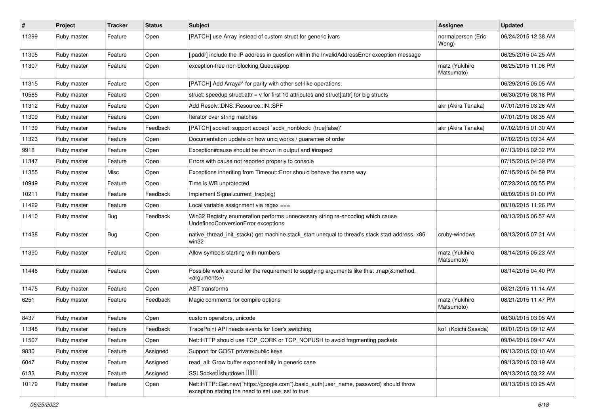| $\pmb{\#}$ | Project     | <b>Tracker</b> | <b>Status</b> | <b>Subject</b>                                                                                                                             | <b>Assignee</b>              | <b>Updated</b>      |
|------------|-------------|----------------|---------------|--------------------------------------------------------------------------------------------------------------------------------------------|------------------------------|---------------------|
| 11299      | Ruby master | Feature        | Open          | [PATCH] use Array instead of custom struct for generic ivars                                                                               | normalperson (Eric<br>Wong)  | 06/24/2015 12:38 AM |
| 11305      | Ruby master | Feature        | Open          | [ipaddr] include the IP address in question within the InvalidAddressError exception message                                               |                              | 06/25/2015 04:25 AM |
| 11307      | Ruby master | Feature        | Open          | exception-free non-blocking Queue#pop                                                                                                      | matz (Yukihiro<br>Matsumoto) | 06/25/2015 11:06 PM |
| 11315      | Ruby master | Feature        | Open          | [PATCH] Add Array#^ for parity with other set-like operations.                                                                             |                              | 06/29/2015 05:05 AM |
| 10585      | Ruby master | Feature        | Open          | struct: speedup struct.attr = v for first 10 attributes and struct[:attr] for big structs                                                  |                              | 06/30/2015 08:18 PM |
| 11312      | Ruby master | Feature        | Open          | Add Resolv::DNS::Resource::IN::SPF                                                                                                         | akr (Akira Tanaka)           | 07/01/2015 03:26 AM |
| 11309      | Ruby master | Feature        | Open          | Iterator over string matches                                                                                                               |                              | 07/01/2015 08:35 AM |
| 11139      | Ruby master | Feature        | Feedback      | [PATCH] socket: support accept `sock_nonblock: (true false)'                                                                               | akr (Akira Tanaka)           | 07/02/2015 01:30 AM |
| 11323      | Ruby master | Feature        | Open          | Documentation update on how uniq works / guarantee of order                                                                                |                              | 07/02/2015 03:34 AM |
| 9918       | Ruby master | Feature        | Open          | Exception#cause should be shown in output and #inspect                                                                                     |                              | 07/13/2015 02:32 PM |
| 11347      | Ruby master | Feature        | Open          | Errors with cause not reported properly to console                                                                                         |                              | 07/15/2015 04:39 PM |
| 11355      | Ruby master | Misc           | Open          | Exceptions inheriting from Timeout:: Error should behave the same way                                                                      |                              | 07/15/2015 04:59 PM |
| 10949      | Ruby master | Feature        | Open          | Time is WB unprotected                                                                                                                     |                              | 07/23/2015 05:55 PM |
| 10211      | Ruby master | Feature        | Feedback      | Implement Signal.current_trap(sig)                                                                                                         |                              | 08/09/2015 01:00 PM |
| 11429      | Ruby master | Feature        | Open          | Local variable assignment via regex ===                                                                                                    |                              | 08/10/2015 11:26 PM |
| 11410      | Ruby master | <b>Bug</b>     | Feedback      | Win32 Registry enumeration performs unnecessary string re-encoding which cause<br>UndefinedConversionError exceptions                      |                              | 08/13/2015 06:57 AM |
| 11438      | Ruby master | <b>Bug</b>     | Open          | native_thread_init_stack() get machine.stack_start unequal to thread's stack start address, x86<br>win32                                   | cruby-windows                | 08/13/2015 07:31 AM |
| 11390      | Ruby master | Feature        | Open          | Allow symbols starting with numbers                                                                                                        | matz (Yukihiro<br>Matsumoto) | 08/14/2015 05:23 AM |
| 11446      | Ruby master | Feature        | Open          | Possible work around for the requirement to supplying arguments like this: .map(&:method,<br><arguments>)</arguments>                      |                              | 08/14/2015 04:40 PM |
| 11475      | Ruby master | Feature        | Open          | <b>AST</b> transforms                                                                                                                      |                              | 08/21/2015 11:14 AM |
| 6251       | Ruby master | Feature        | Feedback      | Magic comments for compile options                                                                                                         | matz (Yukihiro<br>Matsumoto) | 08/21/2015 11:47 PM |
| 8437       | Ruby master | Feature        | Open          | custom operators, unicode                                                                                                                  |                              | 08/30/2015 03:05 AM |
| 11348      | Ruby master | Feature        | Feedback      | TracePoint API needs events for fiber's switching                                                                                          | ko1 (Koichi Sasada)          | 09/01/2015 09:12 AM |
| 11507      | Ruby master | Feature        | Open          | Net::HTTP should use TCP_CORK or TCP_NOPUSH to avoid fragmenting packets                                                                   |                              | 09/04/2015 09:47 AM |
| 9830       | Ruby master | Feature        | Assigned      | Support for GOST private/public keys                                                                                                       |                              | 09/13/2015 03:10 AM |
| 6047       | Ruby master | Feature        | Assigned      | read_all: Grow buffer exponentially in generic case                                                                                        |                              | 09/13/2015 03:19 AM |
| 6133       | Ruby master | Feature        | Assigned      | SSLSocket <sup>[</sup> shutdown <sup>[11]</sup>                                                                                            |                              | 09/13/2015 03:22 AM |
| 10179      | Ruby master | Feature        | Open          | Net::HTTP::Get.new("https://google.com").basic_auth(user_name, password) should throw<br>exception stating the need to set use_ssl to true |                              | 09/13/2015 03:25 AM |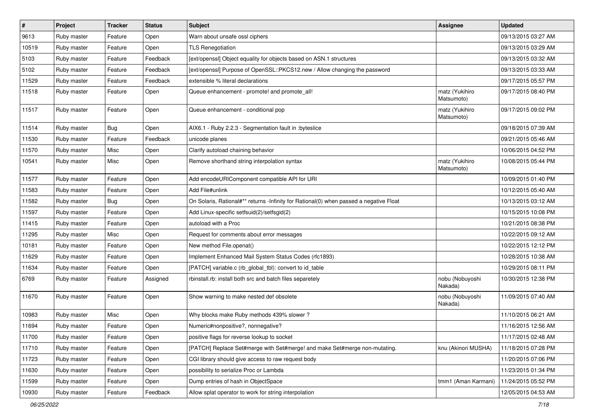| $\sharp$ | Project     | <b>Tracker</b> | <b>Status</b> | Subject                                                                                | <b>Assignee</b>              | <b>Updated</b>      |
|----------|-------------|----------------|---------------|----------------------------------------------------------------------------------------|------------------------------|---------------------|
| 9613     | Ruby master | Feature        | Open          | Warn about unsafe ossl ciphers                                                         |                              | 09/13/2015 03:27 AM |
| 10519    | Ruby master | Feature        | Open          | <b>TLS Renegotiation</b>                                                               |                              | 09/13/2015 03:29 AM |
| 5103     | Ruby master | Feature        | Feedback      | [ext/openssl] Object equality for objects based on ASN.1 structures                    |                              | 09/13/2015 03:32 AM |
| 5102     | Ruby master | Feature        | Feedback      | [ext/openssl] Purpose of OpenSSL::PKCS12.new / Allow changing the password             |                              | 09/13/2015 03:33 AM |
| 11529    | Ruby master | Feature        | Feedback      | extensible % literal declarations                                                      |                              | 09/17/2015 05:57 PM |
| 11518    | Ruby master | Feature        | Open          | Queue enhancement - promote! and promote_all!                                          | matz (Yukihiro<br>Matsumoto) | 09/17/2015 08:40 PM |
| 11517    | Ruby master | Feature        | Open          | Queue enhancement - conditional pop                                                    | matz (Yukihiro<br>Matsumoto) | 09/17/2015 09:02 PM |
| 11514    | Ruby master | <b>Bug</b>     | Open          | AIX6.1 - Ruby 2.2.3 - Segmentation fault in : byteslice                                |                              | 09/18/2015 07:39 AM |
| 11530    | Ruby master | Feature        | Feedback      | unicode planes                                                                         |                              | 09/21/2015 05:46 AM |
| 11570    | Ruby master | Misc           | Open          | Clarify autoload chaining behavior                                                     |                              | 10/06/2015 04:52 PM |
| 10541    | Ruby master | Misc           | Open          | Remove shorthand string interpolation syntax                                           | matz (Yukihiro<br>Matsumoto) | 10/08/2015 05:44 PM |
| 11577    | Ruby master | Feature        | Open          | Add encodeURIComponent compatible API for URI                                          |                              | 10/09/2015 01:40 PM |
| 11583    | Ruby master | Feature        | Open          | Add File#unlink                                                                        |                              | 10/12/2015 05:40 AM |
| 11582    | Ruby master | <b>Bug</b>     | Open          | On Solaris, Rational#** returns -Infinity for Rational(0) when passed a negative Float |                              | 10/13/2015 03:12 AM |
| 11597    | Ruby master | Feature        | Open          | Add Linux-specific setfsuid(2)/setfsgid(2)                                             |                              | 10/15/2015 10:08 PM |
| 11415    | Ruby master | Feature        | Open          | autoload with a Proc                                                                   |                              | 10/21/2015 08:38 PM |
| 11295    | Ruby master | Misc           | Open          | Request for comments about error messages                                              |                              | 10/22/2015 09:12 AM |
| 10181    | Ruby master | Feature        | Open          | New method File.openat()                                                               |                              | 10/22/2015 12:12 PM |
| 11629    | Ruby master | Feature        | Open          | Implement Enhanced Mail System Status Codes (rfc1893)                                  |                              | 10/28/2015 10:38 AM |
| 11634    | Ruby master | Feature        | Open          | [PATCH] variable.c (rb_global_tbl): convert to id_table                                |                              | 10/29/2015 08:11 PM |
| 6769     | Ruby master | Feature        | Assigned      | rbinstall.rb: install both src and batch files separetely                              | nobu (Nobuyoshi<br>Nakada)   | 10/30/2015 12:38 PM |
| 11670    | Ruby master | Feature        | Open          | Show warning to make nested def obsolete                                               | nobu (Nobuyoshi<br>Nakada)   | 11/09/2015 07:40 AM |
| 10983    | Ruby master | Misc           | Open          | Why blocks make Ruby methods 439% slower?                                              |                              | 11/10/2015 06:21 AM |
| 11694    | Ruby master | Feature        | Open          | Numeric#nonpositive?, nonnegative?                                                     |                              | 11/16/2015 12:56 AM |
| 11700    | Ruby master | Feature        | Open          | positive flags for reverse lookup to socket                                            |                              | 11/17/2015 02:48 AM |
| 11710    | Ruby master | Feature        | Open          | [PATCH] Replace Set#merge with Set#merge! and make Set#merge non-mutating.             | knu (Akinori MUSHA)          | 11/18/2015 07:28 PM |
| 11723    | Ruby master | Feature        | Open          | CGI library should give access to raw request body                                     |                              | 11/20/2015 07:06 PM |
| 11630    | Ruby master | Feature        | Open          | possibility to serialize Proc or Lambda                                                |                              | 11/23/2015 01:34 PM |
| 11599    | Ruby master | Feature        | Open          | Dump entries of hash in ObjectSpace                                                    | tmm1 (Aman Karmani)          | 11/24/2015 05:52 PM |
| 10930    | Ruby master | Feature        | Feedback      | Allow splat operator to work for string interpolation                                  |                              | 12/05/2015 04:53 AM |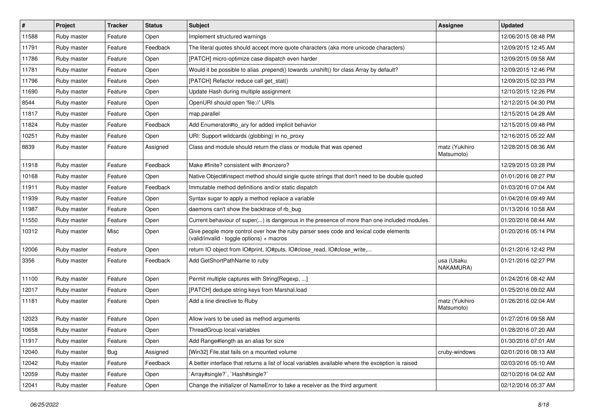| #     | Project     | <b>Tracker</b> | <b>Status</b> | <b>Subject</b>                                                                                                                     | <b>Assignee</b>              | <b>Updated</b>      |
|-------|-------------|----------------|---------------|------------------------------------------------------------------------------------------------------------------------------------|------------------------------|---------------------|
| 11588 | Ruby master | Feature        | Open          | Implement structured warnings                                                                                                      |                              | 12/06/2015 08:48 PM |
| 11791 | Ruby master | Feature        | Feedback      | The literal quotes should accept more quote characters (aka more unicode characters)                                               |                              | 12/09/2015 12:45 AM |
| 11786 | Ruby master | Feature        | Open          | [PATCH] micro-optimize case dispatch even harder                                                                                   |                              | 12/09/2015 09:58 AM |
| 11781 | Ruby master | Feature        | Open          | Would it be possible to alias .prepend() towards .unshift() for class Array by default?                                            |                              | 12/09/2015 12:46 PM |
| 11796 | Ruby master | Feature        | Open          | [PATCH] Refactor reduce call get_stat()                                                                                            |                              | 12/09/2015 02:33 PM |
| 11690 | Ruby master | Feature        | Open          | Update Hash during multiple assignment                                                                                             |                              | 12/10/2015 12:26 PM |
| 8544  | Ruby master | Feature        | Open          | OpenURI should open 'file://' URIs                                                                                                 |                              | 12/12/2015 04:30 PM |
| 11817 | Ruby master | Feature        | Open          | map.parallel                                                                                                                       |                              | 12/15/2015 04:28 AM |
| 11824 | Ruby master | Feature        | Feedback      | Add Enumerator#to_ary for added implicit behavior                                                                                  |                              | 12/15/2015 09:48 PM |
| 10251 | Ruby master | Feature        | Open          | URI: Support wildcards (globbing) in no_proxy                                                                                      |                              | 12/16/2015 05:22 AM |
| 8839  | Ruby master | Feature        | Assigned      | Class and module should return the class or module that was opened                                                                 | matz (Yukihiro<br>Matsumoto) | 12/28/2015 08:36 AM |
| 11918 | Ruby master | Feature        | Feedback      | Make #finite? consistent with #nonzero?                                                                                            |                              | 12/29/2015 03:28 PM |
| 10168 | Ruby master | Feature        | Open          | Native Object#inspect method should single quote strings that don't need to be double quoted                                       |                              | 01/01/2016 08:27 PM |
| 11911 | Ruby master | Feature        | Feedback      | Immutable method definitions and/or static dispatch                                                                                |                              | 01/03/2016 07:04 AM |
| 11939 | Ruby master | Feature        | Open          | Syntax sugar to apply a method replace a variable                                                                                  |                              | 01/04/2016 09:49 AM |
| 11987 | Ruby master | Feature        | Open          | daemons can't show the backtrace of rb_bug                                                                                         |                              | 01/13/2016 10:58 AM |
| 11550 | Ruby master | Feature        | Open          | Current behaviour of super() is dangerous in the presence of more than one included modules.                                       |                              | 01/20/2016 08:44 AM |
| 10312 | Ruby master | Misc           | Open          | Give people more control over how the ruby parser sees code and lexical code elements<br>(valid/invalid - toggle options) + macros |                              | 01/20/2016 05:14 PM |
| 12006 | Ruby master | Feature        | Open          | return IO object from IO#print, IO#puts, IO#close_read, IO#close_write,                                                            |                              | 01/21/2016 12:42 PM |
| 3356  | Ruby master | Feature        | Feedback      | Add GetShortPathName to ruby                                                                                                       | usa (Usaku<br>NAKAMURA)      | 01/21/2016 02:27 PM |
| 11100 | Ruby master | Feature        | Open          | Permit multiple captures with String[Regexp, ]                                                                                     |                              | 01/24/2016 08:42 AM |
| 12017 | Ruby master | Feature        | Open          | [PATCH] dedupe string keys from Marshal.load                                                                                       |                              | 01/25/2016 09:02 AM |
| 11181 | Ruby master | Feature        | Open          | Add a line directive to Ruby                                                                                                       | matz (Yukihiro<br>Matsumoto) | 01/26/2016 02:04 AM |
| 12023 | Ruby master | Feature        | Open          | Allow ivars to be used as method arguments                                                                                         |                              | 01/27/2016 09:58 AM |
| 10658 | Ruby master | Feature        | Open          | ThreadGroup local variables                                                                                                        |                              | 01/28/2016 07:20 AM |
| 11917 | Ruby master | Feature        | Open          | Add Range#length as an alias for size                                                                                              |                              | 01/30/2016 07:01 AM |
| 12040 | Ruby master | <b>Bug</b>     | Assigned      | [Win32] File.stat fails on a mounted volume                                                                                        | cruby-windows                | 02/01/2016 08:13 AM |
| 12042 | Ruby master | Feature        | Feedback      | A better interface that returns a list of local variables available where the exception is raised                                  |                              | 02/03/2016 05:10 AM |
| 12059 | Ruby master | Feature        | Open          | `Array#single?`, `Hash#single?`                                                                                                    |                              | 02/10/2016 04:02 AM |
| 12041 | Ruby master | Feature        | Open          | Change the initializer of NameError to take a receiver as the third argument                                                       |                              | 02/12/2016 05:37 AM |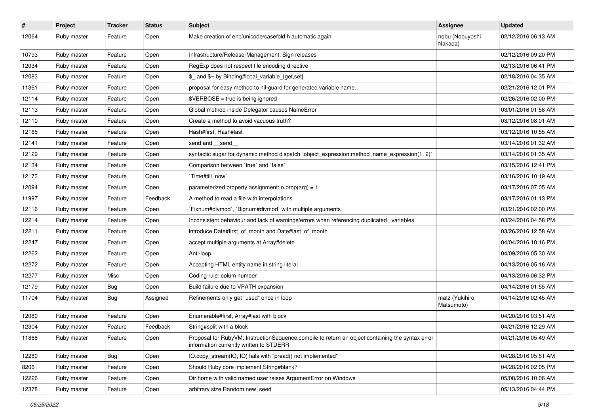| $\pmb{\#}$ | Project     | <b>Tracker</b> | <b>Status</b> | <b>Subject</b>                                                                                                                              | <b>Assignee</b>              | <b>Updated</b>      |
|------------|-------------|----------------|---------------|---------------------------------------------------------------------------------------------------------------------------------------------|------------------------------|---------------------|
| 12064      | Ruby master | Feature        | Open          | Make creation of enc/unicode/casefold.h automatic again                                                                                     | nobu (Nobuyoshi<br>Nakada)   | 02/12/2016 06:13 AM |
| 10793      | Ruby master | Feature        | Open          | Infrastructure/Release-Management: Sign releases                                                                                            |                              | 02/12/2016 09:20 PM |
| 12034      | Ruby master | Feature        | Open          | RegExp does not respect file encoding directive                                                                                             |                              | 02/13/2016 06:41 PM |
| 12083      | Ruby master | Feature        | Open          | \$_ and \$~ by Binding#local_variable_{get,set}                                                                                             |                              | 02/18/2016 04:35 AM |
| 11361      | Ruby master | Feature        | Open          | proposal for easy method to nil-guard for generated variable name.                                                                          |                              | 02/21/2016 12:01 PM |
| 12114      | Ruby master | Feature        | Open          | \$VERBOSE = true is being ignored                                                                                                           |                              | 02/26/2016 02:00 PM |
| 12113      | Ruby master | Feature        | Open          | Global method inside Delegator causes NameError                                                                                             |                              | 03/01/2016 01:58 AM |
| 12110      | Ruby master | Feature        | Open          | Create a method to avoid vacuous truth?                                                                                                     |                              | 03/12/2016 08:01 AM |
| 12165      | Ruby master | Feature        | Open          | Hash#first, Hash#last                                                                                                                       |                              | 03/12/2016 10:55 AM |
| 12141      | Ruby master | Feature        | Open          | send and __send_                                                                                                                            |                              | 03/14/2016 01:32 AM |
| 12129      | Ruby master | Feature        | Open          | syntactic sugar for dynamic method dispatch `object_expression:method_name_expression(1, 2)`                                                |                              | 03/14/2016 01:35 AM |
| 12134      | Ruby master | Feature        | Open          | Comparison between 'true' and 'false'                                                                                                       |                              | 03/15/2016 12:41 PM |
| 12173      | Ruby master | Feature        | Open          | Time#till_now                                                                                                                               |                              | 03/16/2016 10:19 AM |
| 12094      | Ruby master | Feature        | Open          | parameterized property assignment: $o.prop(arg) = 1$                                                                                        |                              | 03/17/2016 07:05 AM |
| 11997      | Ruby master | Feature        | Feedback      | A method to read a file with interpolations                                                                                                 |                              | 03/17/2016 01:13 PM |
| 12116      | Ruby master | Feature        | Open          | Fixnum#divmod`, `Bignum#divmod` with multiple arguments                                                                                     |                              | 03/21/2016 02:00 PM |
| 12214      | Ruby master | Feature        | Open          | Inconsistent behaviour and lack of warnings/errors when referencing duplicated _variables                                                   |                              | 03/24/2016 04:58 PM |
| 12211      | Ruby master | Feature        | Open          | introduce Date#first_of_month and Date#last_of_month                                                                                        |                              | 03/26/2016 12:58 AM |
| 12247      | Ruby master | Feature        | Open          | accept multiple arguments at Array#delete                                                                                                   |                              | 04/04/2016 10:16 PM |
| 12262      | Ruby master | Feature        | Open          | Anti-loop                                                                                                                                   |                              | 04/09/2016 05:30 AM |
| 12272      | Ruby master | Feature        | Open          | Accepting HTML entity name in string literal                                                                                                |                              | 04/13/2016 05:16 AM |
| 12277      | Ruby master | Misc           | Open          | Coding rule: colum number                                                                                                                   |                              | 04/13/2016 06:32 PM |
| 12179      | Ruby master | <b>Bug</b>     | Open          | Build failure due to VPATH expansion                                                                                                        |                              | 04/14/2016 01:55 AM |
| 11704      | Ruby master | <b>Bug</b>     | Assigned      | Refinements only get "used" once in loop                                                                                                    | matz (Yukihiro<br>Matsumoto) | 04/14/2016 02:45 AM |
| 12080      | Ruby master | Feature        | Open          | Enumerable#first, Array#last with block                                                                                                     |                              | 04/20/2016 03:51 AM |
| 12304      | Ruby master | Feature        | Feedback      | String#split with a block                                                                                                                   |                              | 04/21/2016 12:29 AM |
| 11868      | Ruby master | Feature        | Open          | Proposal for RubyVM::InstructionSequence.compile to return an object containing the syntax error<br>information currently written to STDERR |                              | 04/21/2016 05:49 AM |
| 12280      | Ruby master | <b>Bug</b>     | Open          | IO.copy stream(IO, IO) fails with "pread() not implemented"                                                                                 |                              | 04/28/2016 05:51 AM |
| 8206       | Ruby master | Feature        | Open          | Should Ruby core implement String#blank?                                                                                                    |                              | 04/28/2016 02:05 PM |
| 12226      | Ruby master | Feature        | Open          | Dir.home with valid named user raises ArgumentError on Windows                                                                              |                              | 05/08/2016 10:06 AM |
| 12378      | Ruby master | Feature        | Open          | arbitrary size Random.new seed                                                                                                              |                              | 05/13/2016 04:44 PM |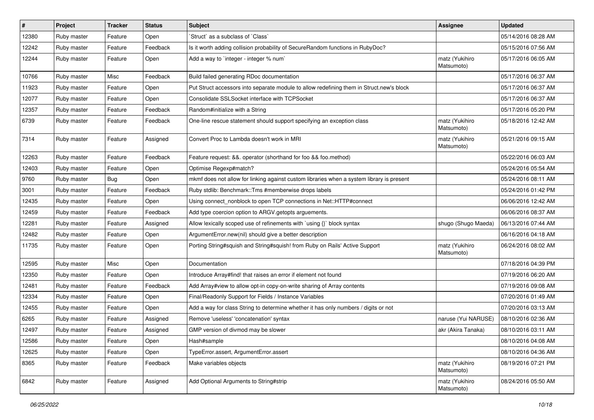| $\sharp$ | Project     | <b>Tracker</b> | <b>Status</b> | <b>Subject</b>                                                                            | <b>Assignee</b>              | <b>Updated</b>      |
|----------|-------------|----------------|---------------|-------------------------------------------------------------------------------------------|------------------------------|---------------------|
| 12380    | Ruby master | Feature        | Open          | 'Struct' as a subclass of 'Class'                                                         |                              | 05/14/2016 08:28 AM |
| 12242    | Ruby master | Feature        | Feedback      | Is it worth adding collision probability of SecureRandom functions in RubyDoc?            |                              | 05/15/2016 07:56 AM |
| 12244    | Ruby master | Feature        | Open          | Add a way to `integer - integer % num`                                                    | matz (Yukihiro<br>Matsumoto) | 05/17/2016 06:05 AM |
| 10766    | Ruby master | Misc           | Feedback      | Build failed generating RDoc documentation                                                |                              | 05/17/2016 06:37 AM |
| 11923    | Ruby master | Feature        | Open          | Put Struct accessors into separate module to allow redefining them in Struct.new's block  |                              | 05/17/2016 06:37 AM |
| 12077    | Ruby master | Feature        | Open          | Consolidate SSLSocket interface with TCPSocket                                            |                              | 05/17/2016 06:37 AM |
| 12357    | Ruby master | Feature        | Feedback      | Random#initialize with a String                                                           |                              | 05/17/2016 05:20 PM |
| 6739     | Ruby master | Feature        | Feedback      | One-line rescue statement should support specifying an exception class                    | matz (Yukihiro<br>Matsumoto) | 05/18/2016 12:42 AM |
| 7314     | Ruby master | Feature        | Assigned      | Convert Proc to Lambda doesn't work in MRI                                                | matz (Yukihiro<br>Matsumoto) | 05/21/2016 09:15 AM |
| 12263    | Ruby master | Feature        | Feedback      | Feature request: &&. operator (shorthand for foo && foo.method)                           |                              | 05/22/2016 06:03 AM |
| 12403    | Ruby master | Feature        | Open          | Optimise Regexp#match?                                                                    |                              | 05/24/2016 05:54 AM |
| 9760     | Ruby master | <b>Bug</b>     | Open          | mkmf does not allow for linking against custom libraries when a system library is present |                              | 05/24/2016 08:11 AM |
| 3001     | Ruby master | Feature        | Feedback      | Ruby stdlib: Benchmark::Tms #memberwise drops labels                                      |                              | 05/24/2016 01:42 PM |
| 12435    | Ruby master | Feature        | Open          | Using connect_nonblock to open TCP connections in Net::HTTP#connect                       |                              | 06/06/2016 12:42 AM |
| 12459    | Ruby master | Feature        | Feedback      | Add type coercion option to ARGV getopts arguements.                                      |                              | 06/06/2016 08:37 AM |
| 12281    | Ruby master | Feature        | Assigned      | Allow lexically scoped use of refinements with `using {}` block syntax                    | shugo (Shugo Maeda)          | 06/13/2016 07:44 AM |
| 12482    | Ruby master | Feature        | Open          | ArgumentError.new(nil) should give a better description                                   |                              | 06/16/2016 04:18 AM |
| 11735    | Ruby master | Feature        | Open          | Porting String#squish and String#squish! from Ruby on Rails' Active Support               | matz (Yukihiro<br>Matsumoto) | 06/24/2016 08:02 AM |
| 12595    | Ruby master | Misc           | Open          | Documentation                                                                             |                              | 07/18/2016 04:39 PM |
| 12350    | Ruby master | Feature        | Open          | Introduce Array#find! that raises an error if element not found                           |                              | 07/19/2016 06:20 AM |
| 12481    | Ruby master | Feature        | Feedback      | Add Array#view to allow opt-in copy-on-write sharing of Array contents                    |                              | 07/19/2016 09:08 AM |
| 12334    | Ruby master | Feature        | Open          | Final/Readonly Support for Fields / Instance Variables                                    |                              | 07/20/2016 01:49 AM |
| 12455    | Ruby master | Feature        | Open          | Add a way for class String to determine whether it has only numbers / digits or not       |                              | 07/20/2016 03:13 AM |
| 6265     | Ruby master | Feature        | Assigned      | Remove 'useless' 'concatenation' syntax                                                   | naruse (Yui NARUSE)          | 08/10/2016 02:36 AM |
| 12497    | Ruby master | Feature        | Assigned      | GMP version of divmod may be slower                                                       | akr (Akira Tanaka)           | 08/10/2016 03:11 AM |
| 12586    | Ruby master | Feature        | Open          | Hash#sample                                                                               |                              | 08/10/2016 04:08 AM |
| 12625    | Ruby master | Feature        | Open          | TypeError.assert, ArgumentError.assert                                                    |                              | 08/10/2016 04:36 AM |
| 8365     | Ruby master | Feature        | Feedback      | Make variables objects                                                                    | matz (Yukihiro<br>Matsumoto) | 08/19/2016 07:21 PM |
| 6842     | Ruby master | Feature        | Assigned      | Add Optional Arguments to String#strip                                                    | matz (Yukihiro<br>Matsumoto) | 08/24/2016 05:50 AM |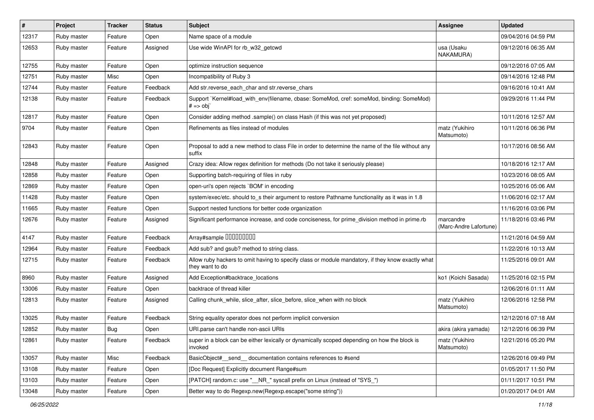| #     | Project     | <b>Tracker</b> | <b>Status</b> | Subject                                                                                                              | <b>Assignee</b>                     | <b>Updated</b>      |
|-------|-------------|----------------|---------------|----------------------------------------------------------------------------------------------------------------------|-------------------------------------|---------------------|
| 12317 | Ruby master | Feature        | Open          | Name space of a module                                                                                               |                                     | 09/04/2016 04:59 PM |
| 12653 | Ruby master | Feature        | Assigned      | Use wide WinAPI for rb_w32_getcwd                                                                                    | usa (Usaku<br>NAKAMURA)             | 09/12/2016 06:35 AM |
| 12755 | Ruby master | Feature        | Open          | optimize instruction sequence                                                                                        |                                     | 09/12/2016 07:05 AM |
| 12751 | Ruby master | Misc           | Open          | Incompatibility of Ruby 3                                                                                            |                                     | 09/14/2016 12:48 PM |
| 12744 | Ruby master | Feature        | Feedback      | Add str.reverse_each_char and str.reverse_chars                                                                      |                                     | 09/16/2016 10:41 AM |
| 12138 | Ruby master | Feature        | Feedback      | Support `Kernel#load_with_env(filename, cbase: SomeMod, cref: someMod, binding: SomeMod)<br>$# == obj$               |                                     | 09/29/2016 11:44 PM |
| 12817 | Ruby master | Feature        | Open          | Consider adding method .sample() on class Hash (if this was not yet proposed)                                        |                                     | 10/11/2016 12:57 AM |
| 9704  | Ruby master | Feature        | Open          | Refinements as files instead of modules                                                                              | matz (Yukihiro<br>Matsumoto)        | 10/11/2016 06:36 PM |
| 12843 | Ruby master | Feature        | Open          | Proposal to add a new method to class File in order to determine the name of the file without any<br>suffix          |                                     | 10/17/2016 08:56 AM |
| 12848 | Ruby master | Feature        | Assigned      | Crazy idea: Allow regex definition for methods (Do not take it seriously please)                                     |                                     | 10/18/2016 12:17 AM |
| 12858 | Ruby master | Feature        | Open          | Supporting batch-requiring of files in ruby                                                                          |                                     | 10/23/2016 08:05 AM |
| 12869 | Ruby master | Feature        | Open          | open-uri's open rejects `BOM' in encoding                                                                            |                                     | 10/25/2016 05:06 AM |
| 11428 | Ruby master | Feature        | Open          | system/exec/etc. should to_s their argument to restore Pathname functionality as it was in 1.8                       |                                     | 11/06/2016 02:17 AM |
| 11665 | Ruby master | Feature        | Open          | Support nested functions for better code organization                                                                |                                     | 11/16/2016 03:06 PM |
| 12676 | Ruby master | Feature        | Assigned      | Significant performance increase, and code conciseness, for prime_division method in prime.rb                        | marcandre<br>(Marc-Andre Lafortune) | 11/18/2016 03:46 PM |
| 4147  | Ruby master | Feature        | Feedback      | Array#sample 00000000                                                                                                |                                     | 11/21/2016 04:59 AM |
| 12964 | Ruby master | Feature        | Feedback      | Add sub? and gsub? method to string class.                                                                           |                                     | 11/22/2016 10:13 AM |
| 12715 | Ruby master | Feature        | Feedback      | Allow ruby hackers to omit having to specify class or module mandatory, if they know exactly what<br>they want to do |                                     | 11/25/2016 09:01 AM |
| 8960  | Ruby master | Feature        | Assigned      | Add Exception#backtrace_locations                                                                                    | ko1 (Koichi Sasada)                 | 11/25/2016 02:15 PM |
| 13006 | Ruby master | Feature        | Open          | backtrace of thread killer                                                                                           |                                     | 12/06/2016 01:11 AM |
| 12813 | Ruby master | Feature        | Assigned      | Calling chunk_while, slice_after, slice_before, slice_when with no block                                             | matz (Yukihiro<br>Matsumoto)        | 12/06/2016 12:58 PM |
| 13025 | Ruby master | Feature        | Feedback      | String equality operator does not perform implicit conversion                                                        |                                     | 12/12/2016 07:18 AM |
| 12852 | Ruby master | <b>Bug</b>     | Open          | URI.parse can't handle non-ascii URIs                                                                                | akira (akira yamada)                | 12/12/2016 06:39 PM |
| 12861 | Ruby master | Feature        | Feedback      | super in a block can be either lexically or dynamically scoped depending on how the block is<br>invoked              | matz (Yukihiro<br>Matsumoto)        | 12/21/2016 05:20 PM |
| 13057 | Ruby master | Misc           | Feedback      | BasicObject#_send_ documentation contains references to #send                                                        |                                     | 12/26/2016 09:49 PM |
| 13108 | Ruby master | Feature        | Open          | [Doc Request] Explicitly document Range#sum                                                                          |                                     | 01/05/2017 11:50 PM |
| 13103 | Ruby master | Feature        | Open          | [PATCH] random.c: use "_NR_" syscall prefix on Linux (instead of "SYS_")                                             |                                     | 01/11/2017 10:51 PM |
| 13048 | Ruby master | Feature        | Open          | Better way to do Regexp.new(Regexp.escape("some string"))                                                            |                                     | 01/20/2017 04:01 AM |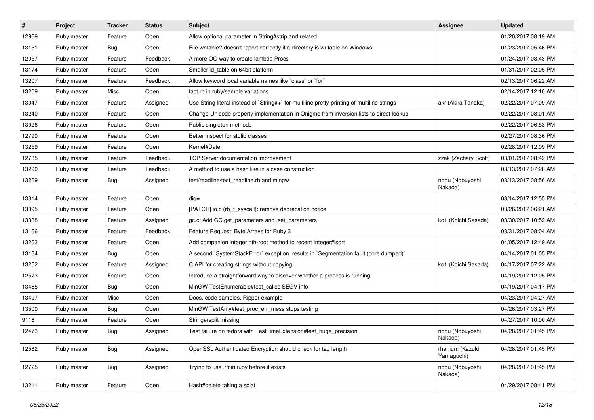| #     | Project     | <b>Tracker</b> | <b>Status</b> | <b>Subject</b>                                                                              | <b>Assignee</b>               | <b>Updated</b>      |
|-------|-------------|----------------|---------------|---------------------------------------------------------------------------------------------|-------------------------------|---------------------|
| 12969 | Ruby master | Feature        | Open          | Allow optional parameter in String#strip and related                                        |                               | 01/20/2017 08:19 AM |
| 13151 | Ruby master | Bug            | Open          | File.writable? doesn't report correctly if a directory is writable on Windows.              |                               | 01/23/2017 05:46 PM |
| 12957 | Ruby master | Feature        | Feedback      | A more OO way to create lambda Procs                                                        |                               | 01/24/2017 08:43 PM |
| 13174 | Ruby master | Feature        | Open          | Smaller id table on 64bit platform                                                          |                               | 01/31/2017 02:05 PM |
| 13207 | Ruby master | Feature        | Feedback      | Allow keyword local variable names like `class` or `for`                                    |                               | 02/13/2017 06:22 AM |
| 13209 | Ruby master | Misc           | Open          | fact.rb in ruby/sample variations                                                           |                               | 02/14/2017 12:10 AM |
| 13047 | Ruby master | Feature        | Assigned      | Use String literal instead of `String#+` for multiline pretty-printing of multiline strings | akr (Akira Tanaka)            | 02/22/2017 07:09 AM |
| 13240 | Ruby master | Feature        | Open          | Change Unicode property implementation in Onigmo from inversion lists to direct lookup      |                               | 02/22/2017 08:01 AM |
| 13026 | Ruby master | Feature        | Open          | Public singleton methods                                                                    |                               | 02/22/2017 06:53 PM |
| 12790 | Ruby master | Feature        | Open          | Better inspect for stdlib classes                                                           |                               | 02/27/2017 08:36 PM |
| 13259 | Ruby master | Feature        | Open          | Kernel#Date                                                                                 |                               | 02/28/2017 12:09 PM |
| 12735 | Ruby master | Feature        | Feedback      | TCP Server documentation improvement                                                        | zzak (Zachary Scott)          | 03/01/2017 08:42 PM |
| 13290 | Ruby master | Feature        | Feedback      | A method to use a hash like in a case construction                                          |                               | 03/13/2017 07:28 AM |
| 13269 | Ruby master | Bug            | Assigned      | test/readline/test_readline.rb and mingw                                                    | nobu (Nobuyoshi<br>Nakada)    | 03/13/2017 08:56 AM |
| 13314 | Ruby master | Feature        | Open          | $dig =$                                                                                     |                               | 03/14/2017 12:55 PM |
| 13095 | Ruby master | Feature        | Open          | [PATCH] io.c (rb_f_syscall): remove deprecation notice                                      |                               | 03/26/2017 06:21 AM |
| 13388 | Ruby master | Feature        | Assigned      | gc.c: Add GC.get_parameters and .set_parameters                                             | ko1 (Koichi Sasada)           | 03/30/2017 10:52 AM |
| 13166 | Ruby master | Feature        | Feedback      | Feature Request: Byte Arrays for Ruby 3                                                     |                               | 03/31/2017 08:04 AM |
| 13263 | Ruby master | Feature        | Open          | Add companion integer nth-root method to recent Integer#isqrt                               |                               | 04/05/2017 12:49 AM |
| 13164 | Ruby master | <b>Bug</b>     | Open          | A second `SystemStackError` exception results in `Segmentation fault (core dumped)`         |                               | 04/14/2017 01:05 PM |
| 13252 | Ruby master | Feature        | Assigned      | C API for creating strings without copying                                                  | ko1 (Koichi Sasada)           | 04/17/2017 07:22 AM |
| 12573 | Ruby master | Feature        | Open          | Introduce a straightforward way to discover whether a process is running                    |                               | 04/19/2017 12:05 PM |
| 13485 | Ruby master | <b>Bug</b>     | Open          | MinGW TestEnumerable#test_callcc SEGV info                                                  |                               | 04/19/2017 04:17 PM |
| 13497 | Ruby master | Misc           | Open          | Docs, code samples, Ripper example                                                          |                               | 04/23/2017 04:27 AM |
| 13500 | Ruby master | <b>Bug</b>     | Open          | MinGW TestArity#test_proc_err_mess stops testing                                            |                               | 04/26/2017 03:27 PM |
| 9116  | Ruby master | Feature        | Open          | String#rsplit missing                                                                       |                               | 04/27/2017 10:00 AM |
| 12473 | Ruby master | <b>Bug</b>     | Assigned      | Test failure on fedora with TestTimeExtension#test huge precision                           | nobu (Nobuyoshi<br>Nakada)    | 04/28/2017 01:45 PM |
| 12582 | Ruby master | Bug            | Assigned      | OpenSSL Authenticated Encryption should check for tag length                                | rhenium (Kazuki<br>Yamaguchi) | 04/28/2017 01:45 PM |
| 12725 | Ruby master | Bug            | Assigned      | Trying to use ./miniruby before it exists                                                   | nobu (Nobuyoshi<br>Nakada)    | 04/28/2017 01:45 PM |
| 13211 | Ruby master | Feature        | Open          | Hash#delete taking a splat                                                                  |                               | 04/29/2017 08:41 PM |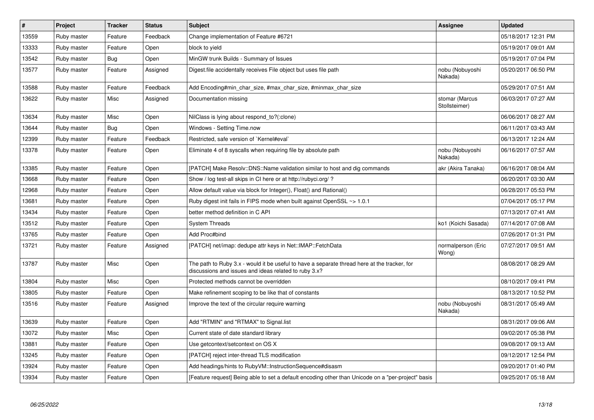| $\vert$ # | Project     | <b>Tracker</b> | <b>Status</b> | <b>Subject</b>                                                                                                                                        | Assignee                        | Updated             |
|-----------|-------------|----------------|---------------|-------------------------------------------------------------------------------------------------------------------------------------------------------|---------------------------------|---------------------|
| 13559     | Ruby master | Feature        | Feedback      | Change implementation of Feature #6721                                                                                                                |                                 | 05/18/2017 12:31 PM |
| 13333     | Ruby master | Feature        | Open          | block to yield                                                                                                                                        |                                 | 05/19/2017 09:01 AM |
| 13542     | Ruby master | <b>Bug</b>     | Open          | MinGW trunk Builds - Summary of Issues                                                                                                                |                                 | 05/19/2017 07:04 PM |
| 13577     | Ruby master | Feature        | Assigned      | Digest file accidentally receives File object but uses file path                                                                                      | nobu (Nobuyoshi<br>Nakada)      | 05/20/2017 06:50 PM |
| 13588     | Ruby master | Feature        | Feedback      | Add Encoding#min_char_size, #max_char_size, #minmax_char_size                                                                                         |                                 | 05/29/2017 07:51 AM |
| 13622     | Ruby master | Misc           | Assigned      | Documentation missing                                                                                                                                 | stomar (Marcus<br>Stollsteimer) | 06/03/2017 07:27 AM |
| 13634     | Ruby master | Misc           | Open          | NilClass is lying about respond_to?(:clone)                                                                                                           |                                 | 06/06/2017 08:27 AM |
| 13644     | Ruby master | Bug            | Open          | Windows - Setting Time.now                                                                                                                            |                                 | 06/11/2017 03:43 AM |
| 12399     | Ruby master | Feature        | Feedback      | Restricted, safe version of `Kernel#eval`                                                                                                             |                                 | 06/13/2017 12:24 AM |
| 13378     | Ruby master | Feature        | Open          | Eliminate 4 of 8 syscalls when requiring file by absolute path                                                                                        | nobu (Nobuyoshi<br>Nakada)      | 06/16/2017 07:57 AM |
| 13385     | Ruby master | Feature        | Open          | [PATCH] Make Resolv::DNS::Name validation similar to host and dig commands                                                                            | akr (Akira Tanaka)              | 06/16/2017 08:04 AM |
| 13668     | Ruby master | Feature        | Open          | Show / log test-all skips in CI here or at http://rubyci.org/?                                                                                        |                                 | 06/20/2017 03:30 AM |
| 12968     | Ruby master | Feature        | Open          | Allow default value via block for Integer(), Float() and Rational()                                                                                   |                                 | 06/28/2017 05:53 PM |
| 13681     | Ruby master | Feature        | Open          | Ruby digest init fails in FIPS mode when built against OpenSSL ~> 1.0.1                                                                               |                                 | 07/04/2017 05:17 PM |
| 13434     | Ruby master | Feature        | Open          | better method definition in C API                                                                                                                     |                                 | 07/13/2017 07:41 AM |
| 13512     | Ruby master | Feature        | Open          | <b>System Threads</b>                                                                                                                                 | ko1 (Koichi Sasada)             | 07/14/2017 07:08 AM |
| 13765     | Ruby master | Feature        | Open          | Add Proc#bind                                                                                                                                         |                                 | 07/26/2017 01:31 PM |
| 13721     | Ruby master | Feature        | Assigned      | [PATCH] net/imap: dedupe attr keys in Net::IMAP::FetchData                                                                                            | normalperson (Eric<br>Wong)     | 07/27/2017 09:51 AM |
| 13787     | Ruby master | Misc           | Open          | The path to Ruby 3.x - would it be useful to have a separate thread here at the tracker, for<br>discussions and issues and ideas related to ruby 3.x? |                                 | 08/08/2017 08:29 AM |
| 13804     | Ruby master | Misc           | Open          | Protected methods cannot be overridden                                                                                                                |                                 | 08/10/2017 09:41 PM |
| 13805     | Ruby master | Feature        | Open          | Make refinement scoping to be like that of constants                                                                                                  |                                 | 08/13/2017 10:52 PM |
| 13516     | Ruby master | Feature        | Assigned      | Improve the text of the circular require warning                                                                                                      | nobu (Nobuyoshi<br>Nakada)      | 08/31/2017 05:49 AM |
| 13639     | Ruby master | Feature        | Open          | Add "RTMIN" and "RTMAX" to Signal.list                                                                                                                |                                 | 08/31/2017 09:06 AM |
| 13072     | Ruby master | Misc           | Open          | Current state of date standard library                                                                                                                |                                 | 09/02/2017 05:38 PM |
| 13881     | Ruby master | Feature        | Open          | Use getcontext/setcontext on OS X                                                                                                                     |                                 | 09/08/2017 09:13 AM |
| 13245     | Ruby master | Feature        | Open          | [PATCH] reject inter-thread TLS modification                                                                                                          |                                 | 09/12/2017 12:54 PM |
| 13924     | Ruby master | Feature        | Open          | Add headings/hints to RubyVM::InstructionSequence#disasm                                                                                              |                                 | 09/20/2017 01:40 PM |
| 13934     | Ruby master | Feature        | Open          | [Feature request] Being able to set a default encoding other than Unicode on a "per-project" basis                                                    |                                 | 09/25/2017 05:18 AM |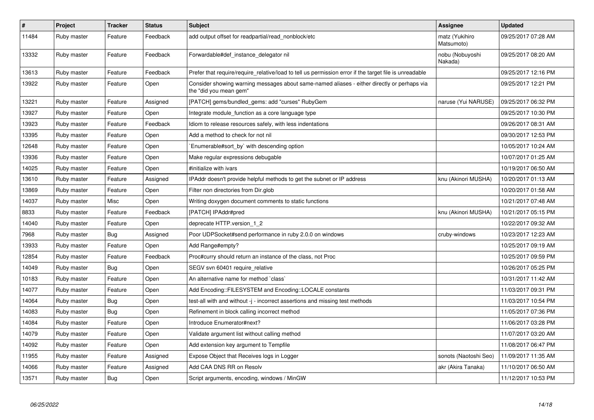| $\pmb{\#}$ | Project     | <b>Tracker</b> | <b>Status</b> | <b>Subject</b>                                                                                                        | Assignee                     | <b>Updated</b>      |
|------------|-------------|----------------|---------------|-----------------------------------------------------------------------------------------------------------------------|------------------------------|---------------------|
| 11484      | Ruby master | Feature        | Feedback      | add output offset for readpartial/read_nonblock/etc                                                                   | matz (Yukihiro<br>Matsumoto) | 09/25/2017 07:28 AM |
| 13332      | Ruby master | Feature        | Feedback      | Forwardable#def instance delegator nil                                                                                | nobu (Nobuyoshi<br>Nakada)   | 09/25/2017 08:20 AM |
| 13613      | Ruby master | Feature        | Feedback      | Prefer that require/require_relative/load to tell us permission error if the target file is unreadable                |                              | 09/25/2017 12:16 PM |
| 13922      | Ruby master | Feature        | Open          | Consider showing warning messages about same-named aliases - either directly or perhaps via<br>the "did you mean gem" |                              | 09/25/2017 12:21 PM |
| 13221      | Ruby master | Feature        | Assigned      | [PATCH] gems/bundled_gems: add "curses" RubyGem                                                                       | naruse (Yui NARUSE)          | 09/25/2017 06:32 PM |
| 13927      | Ruby master | Feature        | Open          | Integrate module_function as a core language type                                                                     |                              | 09/25/2017 10:30 PM |
| 13923      | Ruby master | Feature        | Feedback      | Idiom to release resources safely, with less indentations                                                             |                              | 09/26/2017 08:31 AM |
| 13395      | Ruby master | Feature        | Open          | Add a method to check for not nil                                                                                     |                              | 09/30/2017 12:53 PM |
| 12648      | Ruby master | Feature        | Open          | Enumerable#sort_by` with descending option                                                                            |                              | 10/05/2017 10:24 AM |
| 13936      | Ruby master | Feature        | Open          | Make regular expressions debugable                                                                                    |                              | 10/07/2017 01:25 AM |
| 14025      | Ruby master | Feature        | Open          | #initialize with ivars                                                                                                |                              | 10/19/2017 06:50 AM |
| 13610      | Ruby master | Feature        | Assigned      | IPAddr doesn't provide helpful methods to get the subnet or IP address                                                | knu (Akinori MUSHA)          | 10/20/2017 01:13 AM |
| 13869      | Ruby master | Feature        | Open          | Filter non directories from Dir.glob                                                                                  |                              | 10/20/2017 01:58 AM |
| 14037      | Ruby master | Misc           | Open          | Writing doxygen document comments to static functions                                                                 |                              | 10/21/2017 07:48 AM |
| 8833       | Ruby master | Feature        | Feedback      | [PATCH] IPAddr#pred                                                                                                   | knu (Akinori MUSHA)          | 10/21/2017 05:15 PM |
| 14040      | Ruby master | Feature        | Open          | deprecate HTTP.version 1 2                                                                                            |                              | 10/22/2017 09:32 AM |
| 7968       | Ruby master | Bug            | Assigned      | Poor UDPSocket#send performance in ruby 2.0.0 on windows                                                              | cruby-windows                | 10/23/2017 12:23 AM |
| 13933      | Ruby master | Feature        | Open          | Add Range#empty?                                                                                                      |                              | 10/25/2017 09:19 AM |
| 12854      | Ruby master | Feature        | Feedback      | Proc#curry should return an instance of the class, not Proc                                                           |                              | 10/25/2017 09:59 PM |
| 14049      | Ruby master | Bug            | Open          | SEGV svn 60401 require relative                                                                                       |                              | 10/26/2017 05:25 PM |
| 10183      | Ruby master | Feature        | Open          | An alternative name for method `class`                                                                                |                              | 10/31/2017 11:42 AM |
| 14077      | Ruby master | Feature        | Open          | Add Encoding::FILESYSTEM and Encoding::LOCALE constants                                                               |                              | 11/03/2017 09:31 PM |
| 14064      | Ruby master | Bug            | Open          | test-all with and without -j - incorrect assertions and missing test methods                                          |                              | 11/03/2017 10:54 PM |
| 14083      | Ruby master | <b>Bug</b>     | Open          | Refinement in block calling incorrect method                                                                          |                              | 11/05/2017 07:36 PM |
| 14084      | Ruby master | Feature        | Open          | Introduce Enumerator#next?                                                                                            |                              | 11/06/2017 03:28 PM |
| 14079      | Ruby master | Feature        | Open          | Validate argument list without calling method                                                                         |                              | 11/07/2017 03:20 AM |
| 14092      | Ruby master | Feature        | Open          | Add extension key argument to Tempfile                                                                                |                              | 11/08/2017 06:47 PM |
| 11955      | Ruby master | Feature        | Assigned      | Expose Object that Receives logs in Logger                                                                            | sonots (Naotoshi Seo)        | 11/09/2017 11:35 AM |
| 14066      | Ruby master | Feature        | Assigned      | Add CAA DNS RR on Resolv                                                                                              | akr (Akira Tanaka)           | 11/10/2017 06:50 AM |
| 13571      | Ruby master | <b>Bug</b>     | Open          | Script arguments, encoding, windows / MinGW                                                                           |                              | 11/12/2017 10:53 PM |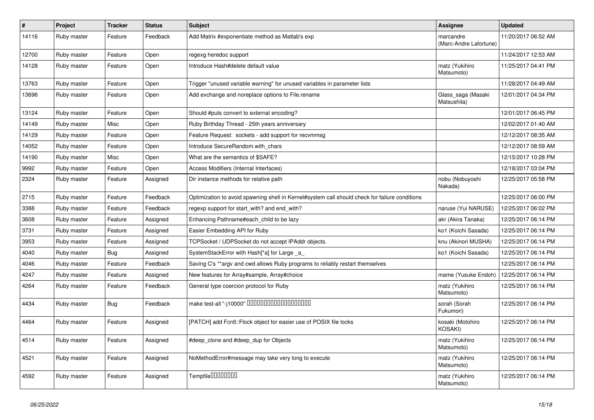| $\pmb{\#}$ | Project     | <b>Tracker</b> | <b>Status</b> | <b>Subject</b>                                                                                 | Assignee                            | <b>Updated</b>      |
|------------|-------------|----------------|---------------|------------------------------------------------------------------------------------------------|-------------------------------------|---------------------|
| 14116      | Ruby master | Feature        | Feedback      | Add Matrix #exponentiate method as Matlab's exp                                                | marcandre<br>(Marc-Andre Lafortune) | 11/20/2017 06:52 AM |
| 12700      | Ruby master | Feature        | Open          | regexg heredoc support                                                                         |                                     | 11/24/2017 12:53 AM |
| 14128      | Ruby master | Feature        | Open          | Introduce Hash#delete default value                                                            | matz (Yukihiro<br>Matsumoto)        | 11/25/2017 04:41 PM |
| 13763      | Ruby master | Feature        | Open          | Trigger "unused variable warning" for unused variables in parameter lists                      |                                     | 11/28/2017 04:49 AM |
| 13696      | Ruby master | Feature        | Open          | Add exchange and noreplace options to File.rename                                              | Glass_saga (Masaki<br>Matsushita)   | 12/01/2017 04:34 PM |
| 13124      | Ruby master | Feature        | Open          | Should #puts convert to external encoding?                                                     |                                     | 12/01/2017 06:45 PM |
| 14149      | Ruby master | Misc           | Open          | Ruby Birthday Thread - 25th years anniversary                                                  |                                     | 12/02/2017 01:40 AM |
| 14129      | Ruby master | Feature        | Open          | Feature Request: sockets - add support for recvmmsg                                            |                                     | 12/12/2017 08:35 AM |
| 14052      | Ruby master | Feature        | Open          | Introduce SecureRandom.with_chars                                                              |                                     | 12/12/2017 08:59 AM |
| 14190      | Ruby master | Misc           | Open          | What are the semantics of \$SAFE?                                                              |                                     | 12/15/2017 10:28 PM |
| 9992       | Ruby master | Feature        | Open          | Access Modifiers (Internal Interfaces)                                                         |                                     | 12/18/2017 03:04 PM |
| 2324       | Ruby master | Feature        | Assigned      | Dir instance methods for relative path                                                         | nobu (Nobuyoshi<br>Nakada)          | 12/25/2017 05:58 PM |
| 2715       | Ruby master | Feature        | Feedback      | Optimization to avoid spawning shell in Kernel#system call should check for failure conditions |                                     | 12/25/2017 06:00 PM |
| 3388       | Ruby master | Feature        | Feedback      | regexp support for start_with? and end_with?                                                   | naruse (Yui NARUSE)                 | 12/25/2017 06:02 PM |
| 3608       | Ruby master | Feature        | Assigned      | Enhancing Pathname#each child to be lazy                                                       | akr (Akira Tanaka)                  | 12/25/2017 06:14 PM |
| 3731       | Ruby master | Feature        | Assigned      | Easier Embedding API for Ruby                                                                  | ko1 (Koichi Sasada)                 | 12/25/2017 06:14 PM |
| 3953       | Ruby master | Feature        | Assigned      | TCPS ocket / UDPS ocket do not accept IPA ddr objects.                                         | knu (Akinori MUSHA)                 | 12/25/2017 06:14 PM |
| 4040       | Ruby master | <b>Bug</b>     | Assigned      | SystemStackError with Hash[*a] for Large _a                                                    | ko1 (Koichi Sasada)                 | 12/25/2017 06:14 PM |
| 4046       | Ruby master | Feature        | Feedback      | Saving C's **argv and cwd allows Ruby programs to reliably restart themselves                  |                                     | 12/25/2017 06:14 PM |
| 4247       | Ruby master | Feature        | Assigned      | New features for Array#sample, Array#choice                                                    | mame (Yusuke Endoh)                 | 12/25/2017 06:14 PM |
| 4264       | Ruby master | Feature        | Feedback      | General type coercion protocol for Ruby                                                        | matz (Yukihiro<br>Matsumoto)        | 12/25/2017 06:14 PM |
| 4434       | Ruby master | <b>Bug</b>     | Feedback      | make test-all "-j10000" 0000000000000000000                                                    | sorah (Sorah<br>Fukumori)           | 12/25/2017 06:14 PM |
| 4464       | Ruby master | Feature        | Assigned      | [PATCH] add Fcntl:: Flock object for easier use of POSIX file locks                            | kosaki (Motohiro<br>KOSAKI)         | 12/25/2017 06:14 PM |
| 4514       | Ruby master | Feature        | Assigned      | #deep_clone and #deep_dup for Objects                                                          | matz (Yukihiro<br>Matsumoto)        | 12/25/2017 06:14 PM |
| 4521       | Ruby master | Feature        | Assigned      | NoMethodError#message may take very long to execute                                            | matz (Yukihiro<br>Matsumoto)        | 12/25/2017 06:14 PM |
| 4592       | Ruby master | Feature        | Assigned      | Tempfile0000000                                                                                | matz (Yukihiro<br>Matsumoto)        | 12/25/2017 06:14 PM |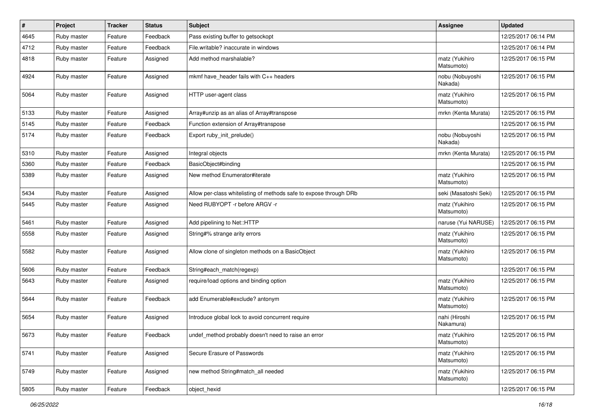| $\pmb{\#}$ | Project     | <b>Tracker</b> | <b>Status</b> | Subject                                                            | <b>Assignee</b>              | <b>Updated</b>      |
|------------|-------------|----------------|---------------|--------------------------------------------------------------------|------------------------------|---------------------|
| 4645       | Ruby master | Feature        | Feedback      | Pass existing buffer to getsockopt                                 |                              | 12/25/2017 06:14 PM |
| 4712       | Ruby master | Feature        | Feedback      | File.writable? inaccurate in windows                               |                              | 12/25/2017 06:14 PM |
| 4818       | Ruby master | Feature        | Assigned      | Add method marshalable?                                            | matz (Yukihiro<br>Matsumoto) | 12/25/2017 06:15 PM |
| 4924       | Ruby master | Feature        | Assigned      | mkmf have_header fails with C++ headers                            | nobu (Nobuyoshi<br>Nakada)   | 12/25/2017 06:15 PM |
| 5064       | Ruby master | Feature        | Assigned      | HTTP user-agent class                                              | matz (Yukihiro<br>Matsumoto) | 12/25/2017 06:15 PM |
| 5133       | Ruby master | Feature        | Assigned      | Array#unzip as an alias of Array#transpose                         | mrkn (Kenta Murata)          | 12/25/2017 06:15 PM |
| 5145       | Ruby master | Feature        | Feedback      | Function extension of Array#transpose                              |                              | 12/25/2017 06:15 PM |
| 5174       | Ruby master | Feature        | Feedback      | Export ruby_init_prelude()                                         | nobu (Nobuyoshi<br>Nakada)   | 12/25/2017 06:15 PM |
| 5310       | Ruby master | Feature        | Assigned      | Integral objects                                                   | mrkn (Kenta Murata)          | 12/25/2017 06:15 PM |
| 5360       | Ruby master | Feature        | Feedback      | BasicObject#binding                                                |                              | 12/25/2017 06:15 PM |
| 5389       | Ruby master | Feature        | Assigned      | New method Enumerator#iterate                                      | matz (Yukihiro<br>Matsumoto) | 12/25/2017 06:15 PM |
| 5434       | Ruby master | Feature        | Assigned      | Allow per-class whitelisting of methods safe to expose through DRb | seki (Masatoshi Seki)        | 12/25/2017 06:15 PM |
| 5445       | Ruby master | Feature        | Assigned      | Need RUBYOPT -r before ARGV -r                                     | matz (Yukihiro<br>Matsumoto) | 12/25/2017 06:15 PM |
| 5461       | Ruby master | Feature        | Assigned      | Add pipelining to Net::HTTP                                        | naruse (Yui NARUSE)          | 12/25/2017 06:15 PM |
| 5558       | Ruby master | Feature        | Assigned      | String#% strange arity errors                                      | matz (Yukihiro<br>Matsumoto) | 12/25/2017 06:15 PM |
| 5582       | Ruby master | Feature        | Assigned      | Allow clone of singleton methods on a BasicObject                  | matz (Yukihiro<br>Matsumoto) | 12/25/2017 06:15 PM |
| 5606       | Ruby master | Feature        | Feedback      | String#each_match(regexp)                                          |                              | 12/25/2017 06:15 PM |
| 5643       | Ruby master | Feature        | Assigned      | require/load options and binding option                            | matz (Yukihiro<br>Matsumoto) | 12/25/2017 06:15 PM |
| 5644       | Ruby master | Feature        | Feedback      | add Enumerable#exclude? antonym                                    | matz (Yukihiro<br>Matsumoto) | 12/25/2017 06:15 PM |
| 5654       | Ruby master | Feature        | Assigned      | Introduce global lock to avoid concurrent require                  | nahi (Hiroshi<br>Nakamura)   | 12/25/2017 06:15 PM |
| 5673       | Ruby master | Feature        | Feedback      | undef_method probably doesn't need to raise an error               | matz (Yukihiro<br>Matsumoto) | 12/25/2017 06:15 PM |
| 5741       | Ruby master | Feature        | Assigned      | Secure Erasure of Passwords                                        | matz (Yukihiro<br>Matsumoto) | 12/25/2017 06:15 PM |
| 5749       | Ruby master | Feature        | Assigned      | new method String#match_all needed                                 | matz (Yukihiro<br>Matsumoto) | 12/25/2017 06:15 PM |
| 5805       | Ruby master | Feature        | Feedback      | object_hexid                                                       |                              | 12/25/2017 06:15 PM |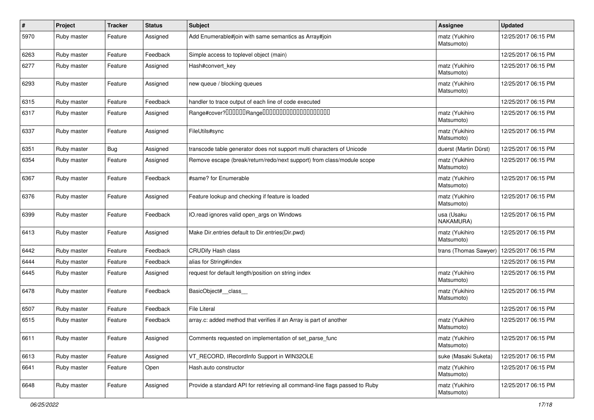| $\sharp$ | Project     | <b>Tracker</b> | <b>Status</b> | <b>Subject</b>                                                              | Assignee                     | <b>Updated</b>      |
|----------|-------------|----------------|---------------|-----------------------------------------------------------------------------|------------------------------|---------------------|
| 5970     | Ruby master | Feature        | Assigned      | Add Enumerable#join with same semantics as Array#join                       | matz (Yukihiro<br>Matsumoto) | 12/25/2017 06:15 PM |
| 6263     | Ruby master | Feature        | Feedback      | Simple access to toplevel object (main)                                     |                              | 12/25/2017 06:15 PM |
| 6277     | Ruby master | Feature        | Assigned      | Hash#convert_key                                                            | matz (Yukihiro<br>Matsumoto) | 12/25/2017 06:15 PM |
| 6293     | Ruby master | Feature        | Assigned      | new queue / blocking queues                                                 | matz (Yukihiro<br>Matsumoto) | 12/25/2017 06:15 PM |
| 6315     | Ruby master | Feature        | Feedback      | handler to trace output of each line of code executed                       |                              | 12/25/2017 06:15 PM |
| 6317     | Ruby master | Feature        | Assigned      |                                                                             | matz (Yukihiro<br>Matsumoto) | 12/25/2017 06:15 PM |
| 6337     | Ruby master | Feature        | Assigned      | FileUtils#sync                                                              | matz (Yukihiro<br>Matsumoto) | 12/25/2017 06:15 PM |
| 6351     | Ruby master | <b>Bug</b>     | Assigned      | transcode table generator does not support multi characters of Unicode      | duerst (Martin Dürst)        | 12/25/2017 06:15 PM |
| 6354     | Ruby master | Feature        | Assigned      | Remove escape (break/return/redo/next support) from class/module scope      | matz (Yukihiro<br>Matsumoto) | 12/25/2017 06:15 PM |
| 6367     | Ruby master | Feature        | Feedback      | #same? for Enumerable                                                       | matz (Yukihiro<br>Matsumoto) | 12/25/2017 06:15 PM |
| 6376     | Ruby master | Feature        | Assigned      | Feature lookup and checking if feature is loaded                            | matz (Yukihiro<br>Matsumoto) | 12/25/2017 06:15 PM |
| 6399     | Ruby master | Feature        | Feedback      | IO.read ignores valid open_args on Windows                                  | usa (Usaku<br>NAKAMURA)      | 12/25/2017 06:15 PM |
| 6413     | Ruby master | Feature        | Assigned      | Make Dir.entries default to Dir.entries(Dir.pwd)                            | matz (Yukihiro<br>Matsumoto) | 12/25/2017 06:15 PM |
| 6442     | Ruby master | Feature        | Feedback      | <b>CRUDify Hash class</b>                                                   | trans (Thomas Sawyer)        | 12/25/2017 06:15 PM |
| 6444     | Ruby master | Feature        | Feedback      | alias for String#index                                                      |                              | 12/25/2017 06:15 PM |
| 6445     | Ruby master | Feature        | Assigned      | request for default length/position on string index                         | matz (Yukihiro<br>Matsumoto) | 12/25/2017 06:15 PM |
| 6478     | Ruby master | Feature        | Feedback      | BasicObject#_class_                                                         | matz (Yukihiro<br>Matsumoto) | 12/25/2017 06:15 PM |
| 6507     | Ruby master | Feature        | Feedback      | <b>File Literal</b>                                                         |                              | 12/25/2017 06:15 PM |
| 6515     | Ruby master | Feature        | Feedback      | array.c: added method that verifies if an Array is part of another          | matz (Yukihiro<br>Matsumoto) | 12/25/2017 06:15 PM |
| 6611     | Ruby master | Feature        | Assigned      | Comments requested on implementation of set_parse_func                      | matz (Yukihiro<br>Matsumoto) | 12/25/2017 06:15 PM |
| 6613     | Ruby master | Feature        | Assigned      | VT_RECORD, IRecordInfo Support in WIN32OLE                                  | suke (Masaki Suketa)         | 12/25/2017 06:15 PM |
| 6641     | Ruby master | Feature        | Open          | Hash.auto constructor                                                       | matz (Yukihiro<br>Matsumoto) | 12/25/2017 06:15 PM |
| 6648     | Ruby master | Feature        | Assigned      | Provide a standard API for retrieving all command-line flags passed to Ruby | matz (Yukihiro<br>Matsumoto) | 12/25/2017 06:15 PM |